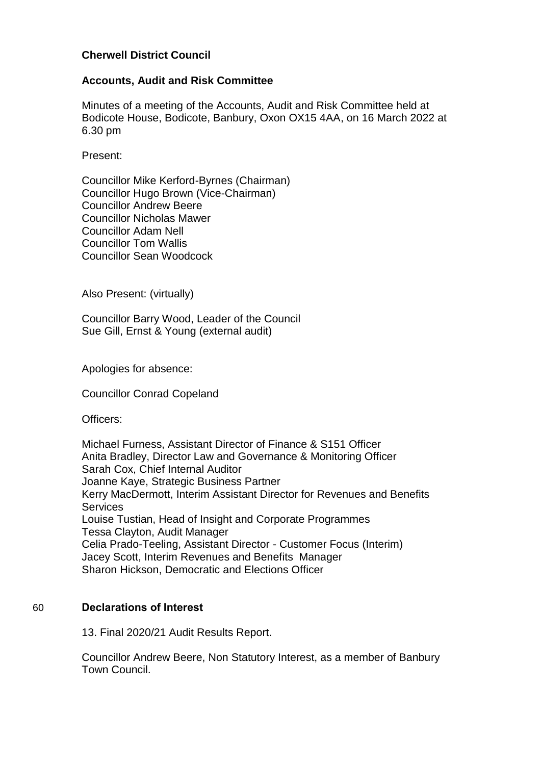# **Cherwell District Council**

## **Accounts, Audit and Risk Committee**

Minutes of a meeting of the Accounts, Audit and Risk Committee held at Bodicote House, Bodicote, Banbury, Oxon OX15 4AA, on 16 March 2022 at 6.30 pm

Present:

Councillor Mike Kerford-Byrnes (Chairman) Councillor Hugo Brown (Vice-Chairman) Councillor Andrew Beere Councillor Nicholas Mawer Councillor Adam Nell Councillor Tom Wallis Councillor Sean Woodcock

Also Present: (virtually)

Councillor Barry Wood, Leader of the Council Sue Gill, Ernst & Young (external audit)

Apologies for absence:

Councillor Conrad Copeland

Officers:

Michael Furness, Assistant Director of Finance & S151 Officer Anita Bradley, Director Law and Governance & Monitoring Officer Sarah Cox, Chief Internal Auditor Joanne Kaye, Strategic Business Partner Kerry MacDermott, Interim Assistant Director for Revenues and Benefits Services Louise Tustian, Head of Insight and Corporate Programmes Tessa Clayton, Audit Manager Celia Prado-Teeling, Assistant Director - Customer Focus (Interim) Jacey Scott, Interim Revenues and Benefits Manager Sharon Hickson, Democratic and Elections Officer

# 60 **Declarations of Interest**

13. Final 2020/21 Audit Results Report.

Councillor Andrew Beere, Non Statutory Interest, as a member of Banbury Town Council.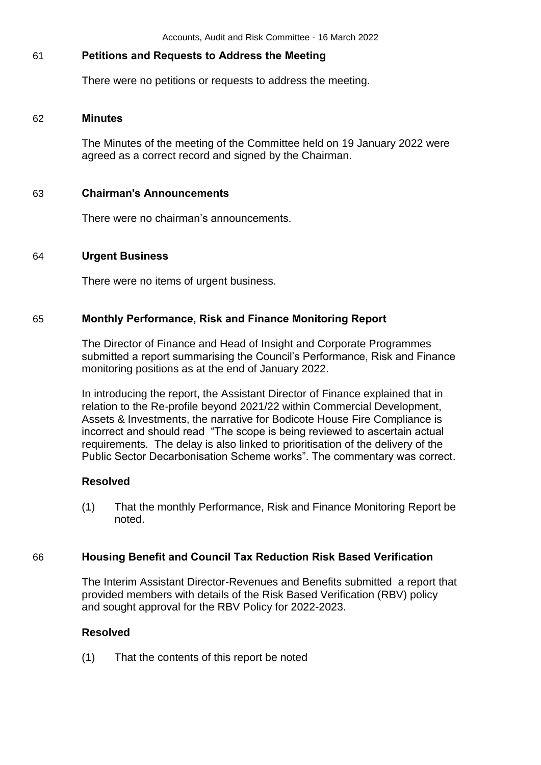## 61 **Petitions and Requests to Address the Meeting**

There were no petitions or requests to address the meeting.

#### 62 **Minutes**

The Minutes of the meeting of the Committee held on 19 January 2022 were agreed as a correct record and signed by the Chairman.

#### 63 **Chairman's Announcements**

There were no chairman's announcements.

#### 64 **Urgent Business**

There were no items of urgent business.

### 65 **Monthly Performance, Risk and Finance Monitoring Report**

The Director of Finance and Head of Insight and Corporate Programmes submitted a report summarising the Council's Performance, Risk and Finance monitoring positions as at the end of January 2022.

In introducing the report, the Assistant Director of Finance explained that in relation to the Re-profile beyond 2021/22 within Commercial Development, Assets & Investments, the narrative for Bodicote House Fire Compliance is incorrect and should read "The scope is being reviewed to ascertain actual requirements. The delay is also linked to prioritisation of the delivery of the Public Sector Decarbonisation Scheme works". The commentary was correct.

#### **Resolved**

(1) That the monthly Performance, Risk and Finance Monitoring Report be noted.

# 66 **Housing Benefit and Council Tax Reduction Risk Based Verification**

The Interim Assistant Director-Revenues and Benefits submitted a report that provided members with details of the Risk Based Verification (RBV) policy and sought approval for the RBV Policy for 2022-2023.

#### **Resolved**

(1) That the contents of this report be noted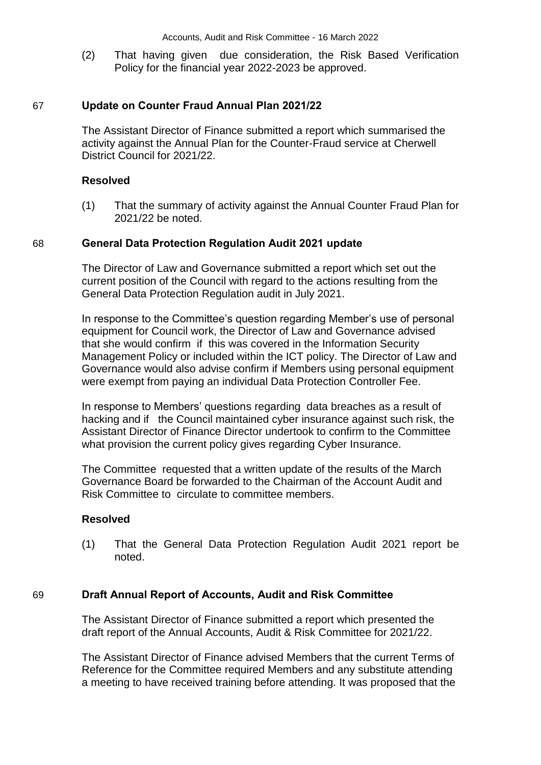(2) That having given due consideration, the Risk Based Verification Policy for the financial year 2022-2023 be approved.

#### 67 **Update on Counter Fraud Annual Plan 2021/22**

The Assistant Director of Finance submitted a report which summarised the activity against the Annual Plan for the Counter-Fraud service at Cherwell District Council for 2021/22.

#### **Resolved**

(1) That the summary of activity against the Annual Counter Fraud Plan for 2021/22 be noted.

#### 68 **General Data Protection Regulation Audit 2021 update**

The Director of Law and Governance submitted a report which set out the current position of the Council with regard to the actions resulting from the General Data Protection Regulation audit in July 2021.

In response to the Committee's question regarding Member's use of personal equipment for Council work, the Director of Law and Governance advised that she would confirm if this was covered in the Information Security Management Policy or included within the ICT policy. The Director of Law and Governance would also advise confirm if Members using personal equipment were exempt from paying an individual Data Protection Controller Fee.

In response to Members' questions regarding data breaches as a result of hacking and if the Council maintained cyber insurance against such risk, the Assistant Director of Finance Director undertook to confirm to the Committee what provision the current policy gives regarding Cyber Insurance.

The Committee requested that a written update of the results of the March Governance Board be forwarded to the Chairman of the Account Audit and Risk Committee to circulate to committee members.

#### **Resolved**

(1) That the General Data Protection Regulation Audit 2021 report be noted.

#### 69 **Draft Annual Report of Accounts, Audit and Risk Committee**

The Assistant Director of Finance submitted a report which presented the draft report of the Annual Accounts, Audit & Risk Committee for 2021/22.

The Assistant Director of Finance advised Members that the current Terms of Reference for the Committee required Members and any substitute attending a meeting to have received training before attending. It was proposed that the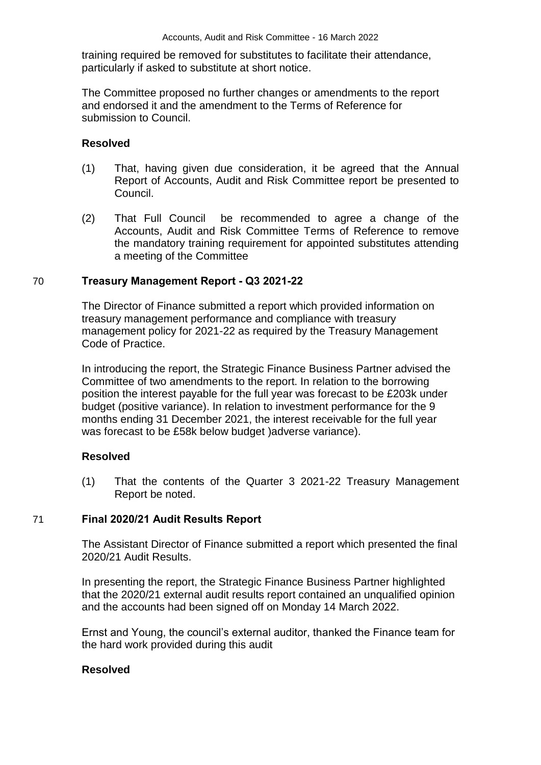training required be removed for substitutes to facilitate their attendance, particularly if asked to substitute at short notice.

The Committee proposed no further changes or amendments to the report and endorsed it and the amendment to the Terms of Reference for submission to Council.

# **Resolved**

- (1) That, having given due consideration, it be agreed that the Annual Report of Accounts, Audit and Risk Committee report be presented to Council.
- (2) That Full Council be recommended to agree a change of the Accounts, Audit and Risk Committee Terms of Reference to remove the mandatory training requirement for appointed substitutes attending a meeting of the Committee

# 70 **Treasury Management Report - Q3 2021-22**

The Director of Finance submitted a report which provided information on treasury management performance and compliance with treasury management policy for 2021-22 as required by the Treasury Management Code of Practice.

In introducing the report, the Strategic Finance Business Partner advised the Committee of two amendments to the report. In relation to the borrowing position the interest payable for the full year was forecast to be £203k under budget (positive variance). In relation to investment performance for the 9 months ending 31 December 2021, the interest receivable for the full year was forecast to be £58k below budget )adverse variance).

# **Resolved**

(1) That the contents of the Quarter 3 2021-22 Treasury Management Report be noted.

# 71 **Final 2020/21 Audit Results Report**

The Assistant Director of Finance submitted a report which presented the final 2020/21 Audit Results.

In presenting the report, the Strategic Finance Business Partner highlighted that the 2020/21 external audit results report contained an unqualified opinion and the accounts had been signed off on Monday 14 March 2022.

Ernst and Young, the council's external auditor, thanked the Finance team for the hard work provided during this audit

# **Resolved**